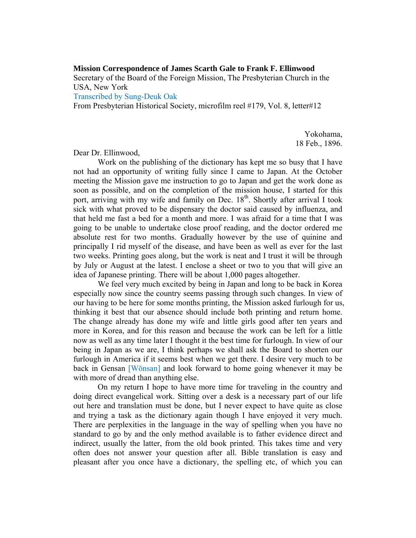## **Mission Correspondence of James Scarth Gale to Frank F. Ellinwood**

Secretary of the Board of the Foreign Mission, The Presbyterian Church in the USA, New York

Transcribed by Sung-Deuk Oak

From Presbyterian Historical Society, microfilm reel #179, Vol. 8, letter#12

Yokohama, 18 Feb., 1896.

## Dear Dr. Ellinwood,

 Work on the publishing of the dictionary has kept me so busy that I have not had an opportunity of writing fully since I came to Japan. At the October meeting the Mission gave me instruction to go to Japan and get the work done as soon as possible, and on the completion of the mission house, I started for this port, arriving with my wife and family on Dec. 18<sup>th</sup>. Shortly after arrival I took sick with what proved to be dispensary the doctor said caused by influenza, and that held me fast a bed for a month and more. I was afraid for a time that I was going to be unable to undertake close proof reading, and the doctor ordered me absolute rest for two months. Gradually however by the use of quinine and principally I rid myself of the disease, and have been as well as ever for the last two weeks. Printing goes along, but the work is neat and I trust it will be through by July or August at the latest. I enclose a sheet or two to you that will give an idea of Japanese printing. There will be about 1,000 pages altogether.

 We feel very much excited by being in Japan and long to be back in Korea especially now since the country seems passing through such changes. In view of our having to be here for some months printing, the Mission asked furlough for us, thinking it best that our absence should include both printing and return home. The change already has done my wife and little girls good after ten years and more in Korea, and for this reason and because the work can be left for a little now as well as any time later I thought it the best time for furlough. In view of our being in Japan as we are, I think perhaps we shall ask the Board to shorten our furlough in America if it seems best when we get there. I desire very much to be back in Gensan [Wŏnsan] and look forward to home going whenever it may be with more of dread than anything else.

 On my return I hope to have more time for traveling in the country and doing direct evangelical work. Sitting over a desk is a necessary part of our life out here and translation must be done, but I never expect to have quite as close and trying a task as the dictionary again though I have enjoyed it very much. There are perplexities in the language in the way of spelling when you have no standard to go by and the only method available is to father evidence direct and indirect, usually the latter, from the old book printed. This takes time and very often does not answer your question after all. Bible translation is easy and pleasant after you once have a dictionary, the spelling etc, of which you can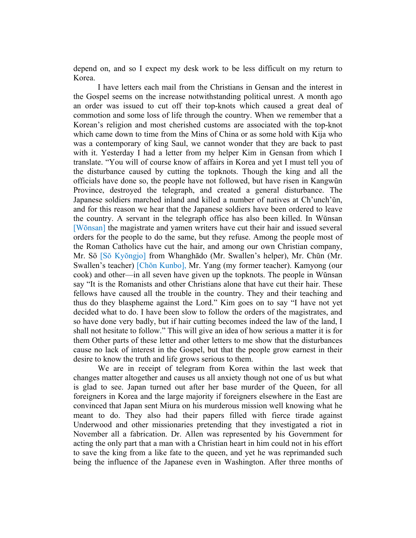depend on, and so I expect my desk work to be less difficult on my return to Korea.

 I have letters each mail from the Christians in Gensan and the interest in the Gospel seems on the increase notwithstanding political unrest. A month ago an order was issued to cut off their top-knots which caused a great deal of commotion and some loss of life through the country. When we remember that a Korean's religion and most cherished customs are associated with the top-knot which came down to time from the Mins of China or as some hold with Kija who was a contemporary of king Saul, we cannot wonder that they are back to past with it. Yesterday I had a letter from my helper Kim in Gensan from which I translate. "You will of course know of affairs in Korea and yet I must tell you of the disturbance caused by cutting the topknots. Though the king and all the officials have done so, the people have not followed, but have risen in Kangwŭn Province, destroyed the telegraph, and created a general disturbance. The Japanese soldiers marched inland and killed a number of natives at Ch'unch'ŭn, and for this reason we hear that the Japanese soldiers have been ordered to leave the country. A servant in the telegraph office has also been killed. In Wŭnsan [Wŏnsan] the magistrate and yamen writers have cut their hair and issued several orders for the people to do the same, but they refuse. Among the people most of the Roman Catholics have cut the hair, and among our own Christian company, Mr. Sö [Sŏ Kyŏngjo] from Whanghādo (Mr. Swallen's helper), Mr. Chŭn (Mr. Swallen's teacher) [Chŏn Kunbo], Mr. Yang (my former teacher). Kamyong (our cook) and other—in all seven have given up the topknots. The people in Wŭnsan say "It is the Romanists and other Christians alone that have cut their hair. These fellows have caused all the trouble in the country. They and their teaching and thus do they blaspheme against the Lord." Kim goes on to say "I have not yet decided what to do. I have been slow to follow the orders of the magistrates, and so have done very badly, but if hair cutting becomes indeed the law of the land, I shall not hesitate to follow." This will give an idea of how serious a matter it is for them Other parts of these letter and other letters to me show that the disturbances cause no lack of interest in the Gospel, but that the people grow earnest in their desire to know the truth and life grows serious to them.

 We are in receipt of telegram from Korea within the last week that changes matter altogether and causes us all anxiety though not one of us but what is glad to see. Japan turned out after her base murder of the Queen, for all foreigners in Korea and the large majority if foreigners elsewhere in the East are convinced that Japan sent Miura on his murderous mission well knowing what he meant to do. They also had their papers filled with fierce tirade against Underwood and other missionaries pretending that they investigated a riot in November all a fabrication. Dr. Allen was represented by his Government for acting the only part that a man with a Christian heart in him could not in his effort to save the king from a like fate to the queen, and yet he was reprimanded such being the influence of the Japanese even in Washington. After three months of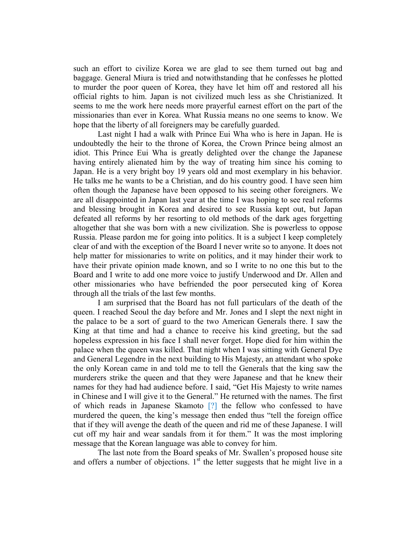such an effort to civilize Korea we are glad to see them turned out bag and baggage. General Miura is tried and notwithstanding that he confesses he plotted to murder the poor queen of Korea, they have let him off and restored all his official rights to him. Japan is not civilized much less as she Christianized. It seems to me the work here needs more prayerful earnest effort on the part of the missionaries than ever in Korea. What Russia means no one seems to know. We hope that the liberty of all foreigners may be carefully guarded.

 Last night I had a walk with Prince Eui Wha who is here in Japan. He is undoubtedly the heir to the throne of Korea, the Crown Prince being almost an idiot. This Prince Eui Wha is greatly delighted over the change the Japanese having entirely alienated him by the way of treating him since his coming to Japan. He is a very bright boy 19 years old and most exemplary in his behavior. He talks me he wants to be a Christian, and do his country good. I have seen him often though the Japanese have been opposed to his seeing other foreigners. We are all disappointed in Japan last year at the time I was hoping to see real reforms and blessing brought in Korea and desired to see Russia kept out, but Japan defeated all reforms by her resorting to old methods of the dark ages forgetting altogether that she was born with a new civilization. She is powerless to oppose Russia. Please pardon me for going into politics. It is a subject I keep completely clear of and with the exception of the Board I never write so to anyone. It does not help matter for missionaries to write on politics, and it may hinder their work to have their private opinion made known, and so I write to no one this but to the Board and I write to add one more voice to justify Underwood and Dr. Allen and other missionaries who have befriended the poor persecuted king of Korea through all the trials of the last few months.

 I am surprised that the Board has not full particulars of the death of the queen. I reached Seoul the day before and Mr. Jones and I slept the next night in the palace to be a sort of guard to the two American Generals there. I saw the King at that time and had a chance to receive his kind greeting, but the sad hopeless expression in his face I shall never forget. Hope died for him within the palace when the queen was killed. That night when I was sitting with General Dye and General Legendre in the next building to His Majesty, an attendant who spoke the only Korean came in and told me to tell the Generals that the king saw the murderers strike the queen and that they were Japanese and that he knew their names for they had had audience before. I said, "Get His Majesty to write names in Chinese and I will give it to the General." He returned with the names. The first of which reads in Japanese Skamoto [?] the fellow who confessed to have murdered the queen, the king's message then ended thus "tell the foreign office that if they will avenge the death of the queen and rid me of these Japanese. I will cut off my hair and wear sandals from it for them." It was the most imploring message that the Korean language was able to convey for him.

 The last note from the Board speaks of Mr. Swallen's proposed house site and offers a number of objections.  $1<sup>st</sup>$  the letter suggests that he might live in a